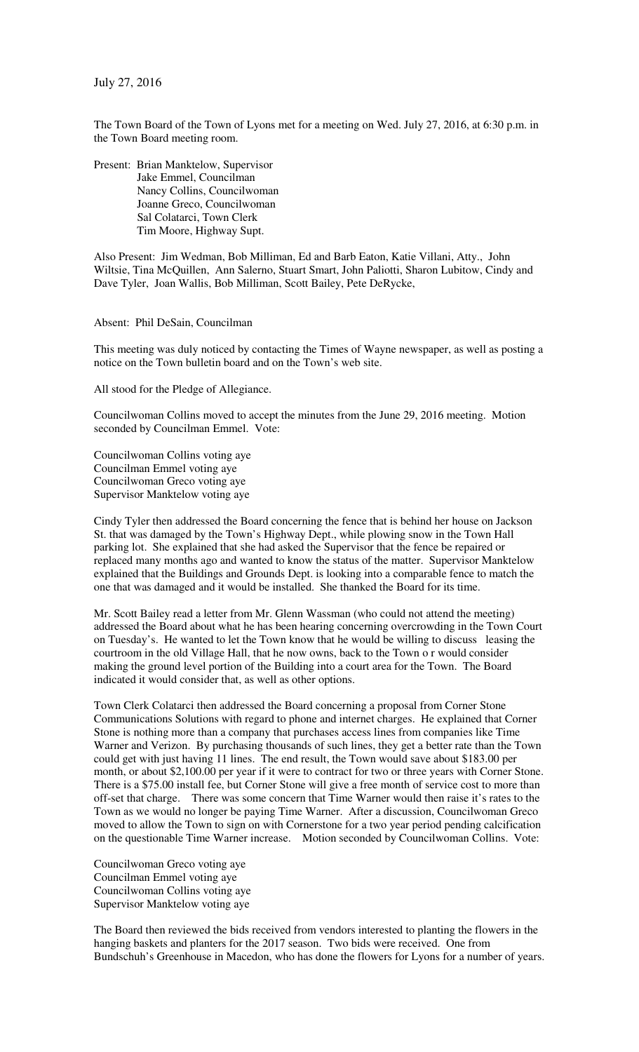July 27, 2016

The Town Board of the Town of Lyons met for a meeting on Wed. July 27, 2016, at 6:30 p.m. in the Town Board meeting room.

Present: Brian Manktelow, Supervisor Jake Emmel, Councilman Nancy Collins, Councilwoman Joanne Greco, Councilwoman Sal Colatarci, Town Clerk Tim Moore, Highway Supt.

Also Present: Jim Wedman, Bob Milliman, Ed and Barb Eaton, Katie Villani, Atty., John Wiltsie, Tina McQuillen, Ann Salerno, Stuart Smart, John Paliotti, Sharon Lubitow, Cindy and Dave Tyler, Joan Wallis, Bob Milliman, Scott Bailey, Pete DeRycke,

Absent: Phil DeSain, Councilman

This meeting was duly noticed by contacting the Times of Wayne newspaper, as well as posting a notice on the Town bulletin board and on the Town's web site.

All stood for the Pledge of Allegiance.

Councilwoman Collins moved to accept the minutes from the June 29, 2016 meeting. Motion seconded by Councilman Emmel. Vote:

Councilwoman Collins voting aye Councilman Emmel voting aye Councilwoman Greco voting aye Supervisor Manktelow voting aye

Cindy Tyler then addressed the Board concerning the fence that is behind her house on Jackson St. that was damaged by the Town's Highway Dept., while plowing snow in the Town Hall parking lot. She explained that she had asked the Supervisor that the fence be repaired or replaced many months ago and wanted to know the status of the matter. Supervisor Manktelow explained that the Buildings and Grounds Dept. is looking into a comparable fence to match the one that was damaged and it would be installed. She thanked the Board for its time.

Mr. Scott Bailey read a letter from Mr. Glenn Wassman (who could not attend the meeting) addressed the Board about what he has been hearing concerning overcrowding in the Town Court on Tuesday's. He wanted to let the Town know that he would be willing to discuss leasing the courtroom in the old Village Hall, that he now owns, back to the Town o r would consider making the ground level portion of the Building into a court area for the Town. The Board indicated it would consider that, as well as other options.

Town Clerk Colatarci then addressed the Board concerning a proposal from Corner Stone Communications Solutions with regard to phone and internet charges. He explained that Corner Stone is nothing more than a company that purchases access lines from companies like Time Warner and Verizon. By purchasing thousands of such lines, they get a better rate than the Town could get with just having 11 lines. The end result, the Town would save about \$183.00 per month, or about \$2,100.00 per year if it were to contract for two or three years with Corner Stone. There is a \$75.00 install fee, but Corner Stone will give a free month of service cost to more than off-set that charge. There was some concern that Time Warner would then raise it's rates to the Town as we would no longer be paying Time Warner. After a discussion, Councilwoman Greco moved to allow the Town to sign on with Cornerstone for a two year period pending calcification on the questionable Time Warner increase. Motion seconded by Councilwoman Collins. Vote:

Councilwoman Greco voting aye Councilman Emmel voting aye Councilwoman Collins voting aye Supervisor Manktelow voting aye

The Board then reviewed the bids received from vendors interested to planting the flowers in the hanging baskets and planters for the 2017 season. Two bids were received. One from Bundschuh's Greenhouse in Macedon, who has done the flowers for Lyons for a number of years.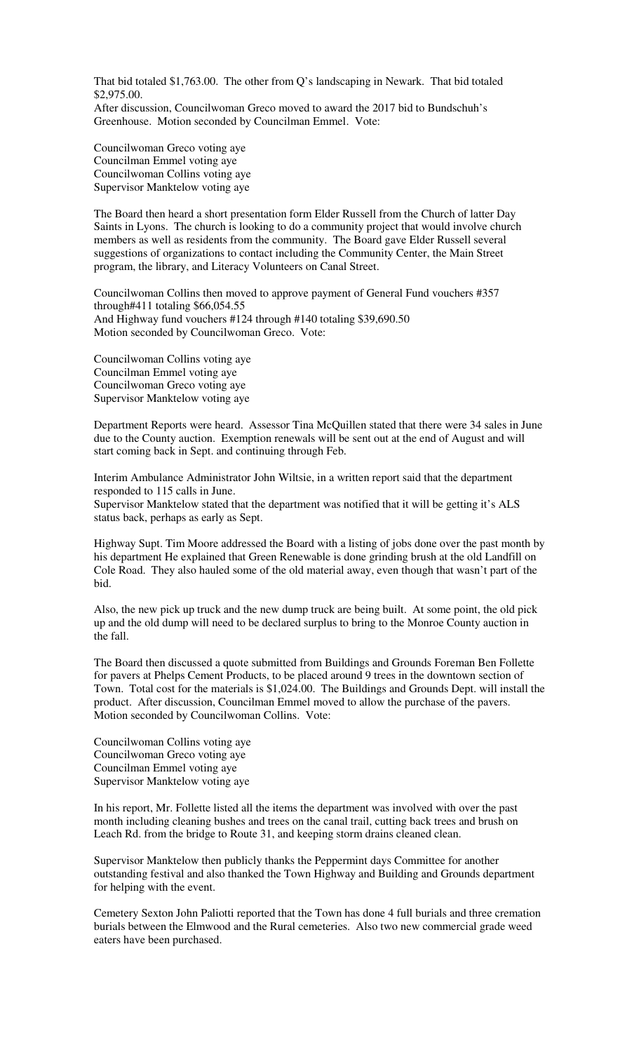That bid totaled \$1,763.00. The other from Q's landscaping in Newark. That bid totaled \$2,975.00.

After discussion, Councilwoman Greco moved to award the 2017 bid to Bundschuh's Greenhouse. Motion seconded by Councilman Emmel. Vote:

Councilwoman Greco voting aye Councilman Emmel voting aye Councilwoman Collins voting aye Supervisor Manktelow voting aye

The Board then heard a short presentation form Elder Russell from the Church of latter Day Saints in Lyons. The church is looking to do a community project that would involve church members as well as residents from the community. The Board gave Elder Russell several suggestions of organizations to contact including the Community Center, the Main Street program, the library, and Literacy Volunteers on Canal Street.

Councilwoman Collins then moved to approve payment of General Fund vouchers #357 through#411 totaling \$66,054.55 And Highway fund vouchers #124 through #140 totaling \$39,690.50 Motion seconded by Councilwoman Greco. Vote:

Councilwoman Collins voting aye Councilman Emmel voting aye Councilwoman Greco voting aye Supervisor Manktelow voting aye

Department Reports were heard. Assessor Tina McQuillen stated that there were 34 sales in June due to the County auction. Exemption renewals will be sent out at the end of August and will start coming back in Sept. and continuing through Feb.

Interim Ambulance Administrator John Wiltsie, in a written report said that the department responded to 115 calls in June. Supervisor Manktelow stated that the department was notified that it will be getting it's ALS status back, perhaps as early as Sept.

Highway Supt. Tim Moore addressed the Board with a listing of jobs done over the past month by his department He explained that Green Renewable is done grinding brush at the old Landfill on Cole Road. They also hauled some of the old material away, even though that wasn't part of the bid.

Also, the new pick up truck and the new dump truck are being built. At some point, the old pick up and the old dump will need to be declared surplus to bring to the Monroe County auction in the fall.

The Board then discussed a quote submitted from Buildings and Grounds Foreman Ben Follette for pavers at Phelps Cement Products, to be placed around 9 trees in the downtown section of Town. Total cost for the materials is \$1,024.00. The Buildings and Grounds Dept. will install the product. After discussion, Councilman Emmel moved to allow the purchase of the pavers. Motion seconded by Councilwoman Collins. Vote:

Councilwoman Collins voting aye Councilwoman Greco voting aye Councilman Emmel voting aye Supervisor Manktelow voting aye

In his report, Mr. Follette listed all the items the department was involved with over the past month including cleaning bushes and trees on the canal trail, cutting back trees and brush on Leach Rd. from the bridge to Route 31, and keeping storm drains cleaned clean.

Supervisor Manktelow then publicly thanks the Peppermint days Committee for another outstanding festival and also thanked the Town Highway and Building and Grounds department for helping with the event.

Cemetery Sexton John Paliotti reported that the Town has done 4 full burials and three cremation burials between the Elmwood and the Rural cemeteries. Also two new commercial grade weed eaters have been purchased.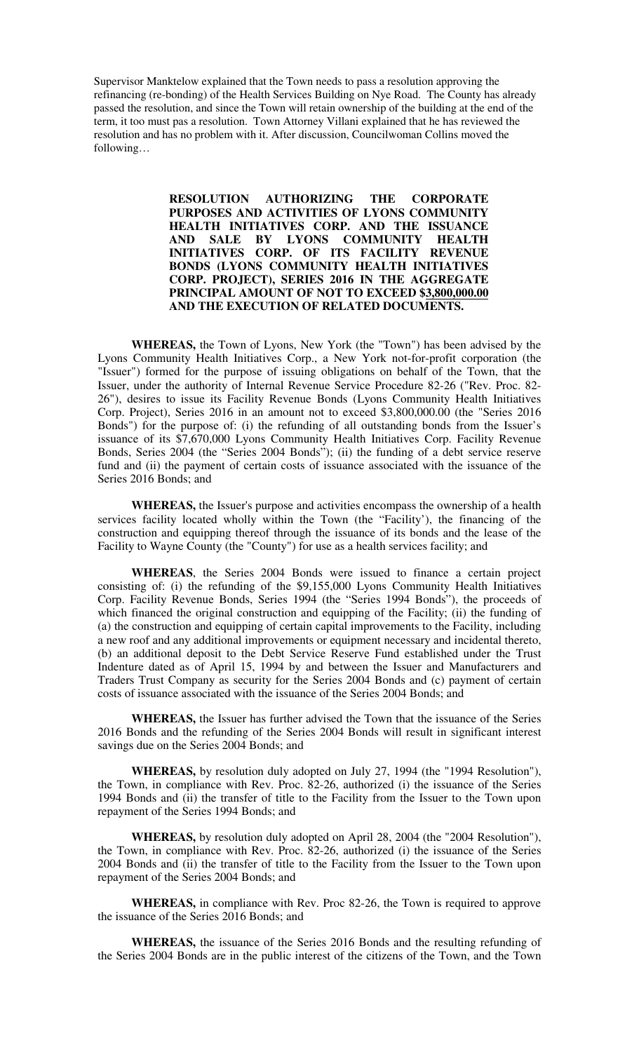Supervisor Manktelow explained that the Town needs to pass a resolution approving the refinancing (re-bonding) of the Health Services Building on Nye Road. The County has already passed the resolution, and since the Town will retain ownership of the building at the end of the term, it too must pas a resolution. Town Attorney Villani explained that he has reviewed the resolution and has no problem with it. After discussion, Councilwoman Collins moved the following…

> **RESOLUTION AUTHORIZING THE CORPORATE PURPOSES AND ACTIVITIES OF LYONS COMMUNITY HEALTH INITIATIVES CORP. AND THE ISSUANCE AND SALE BY LYONS COMMUNITY HEALTH INITIATIVES CORP. OF ITS FACILITY REVENUE BONDS (LYONS COMMUNITY HEALTH INITIATIVES CORP. PROJECT), SERIES 2016 IN THE AGGREGATE PRINCIPAL AMOUNT OF NOT TO EXCEED \$3,800,000.00 AND THE EXECUTION OF RELATED DOCUMENTS.**

**WHEREAS,** the Town of Lyons, New York (the "Town") has been advised by the Lyons Community Health Initiatives Corp., a New York not-for-profit corporation (the "Issuer") formed for the purpose of issuing obligations on behalf of the Town, that the Issuer, under the authority of Internal Revenue Service Procedure 82-26 ("Rev. Proc. 82- 26"), desires to issue its Facility Revenue Bonds (Lyons Community Health Initiatives Corp. Project), Series 2016 in an amount not to exceed \$3,800,000.00 (the "Series 2016 Bonds") for the purpose of: (i) the refunding of all outstanding bonds from the Issuer's issuance of its \$7,670,000 Lyons Community Health Initiatives Corp. Facility Revenue Bonds, Series 2004 (the "Series 2004 Bonds"); (ii) the funding of a debt service reserve fund and (ii) the payment of certain costs of issuance associated with the issuance of the Series 2016 Bonds; and

**WHEREAS,** the Issuer's purpose and activities encompass the ownership of a health services facility located wholly within the Town (the "Facility'), the financing of the construction and equipping thereof through the issuance of its bonds and the lease of the Facility to Wayne County (the "County") for use as a health services facility; and

**WHEREAS**, the Series 2004 Bonds were issued to finance a certain project consisting of: (i) the refunding of the \$9,155,000 Lyons Community Health Initiatives Corp. Facility Revenue Bonds, Series 1994 (the "Series 1994 Bonds"), the proceeds of which financed the original construction and equipping of the Facility; (ii) the funding of (a) the construction and equipping of certain capital improvements to the Facility, including a new roof and any additional improvements or equipment necessary and incidental thereto, (b) an additional deposit to the Debt Service Reserve Fund established under the Trust Indenture dated as of April 15, 1994 by and between the Issuer and Manufacturers and Traders Trust Company as security for the Series 2004 Bonds and (c) payment of certain costs of issuance associated with the issuance of the Series 2004 Bonds; and

**WHEREAS,** the Issuer has further advised the Town that the issuance of the Series 2016 Bonds and the refunding of the Series 2004 Bonds will result in significant interest savings due on the Series 2004 Bonds; and

**WHEREAS,** by resolution duly adopted on July 27, 1994 (the "1994 Resolution"), the Town, in compliance with Rev. Proc. 82-26, authorized (i) the issuance of the Series 1994 Bonds and (ii) the transfer of title to the Facility from the Issuer to the Town upon repayment of the Series 1994 Bonds; and

**WHEREAS,** by resolution duly adopted on April 28, 2004 (the "2004 Resolution"), the Town, in compliance with Rev. Proc. 82-26, authorized (i) the issuance of the Series 2004 Bonds and (ii) the transfer of title to the Facility from the Issuer to the Town upon repayment of the Series 2004 Bonds; and

**WHEREAS,** in compliance with Rev. Proc 82-26, the Town is required to approve the issuance of the Series 2016 Bonds; and

**WHEREAS,** the issuance of the Series 2016 Bonds and the resulting refunding of the Series 2004 Bonds are in the public interest of the citizens of the Town, and the Town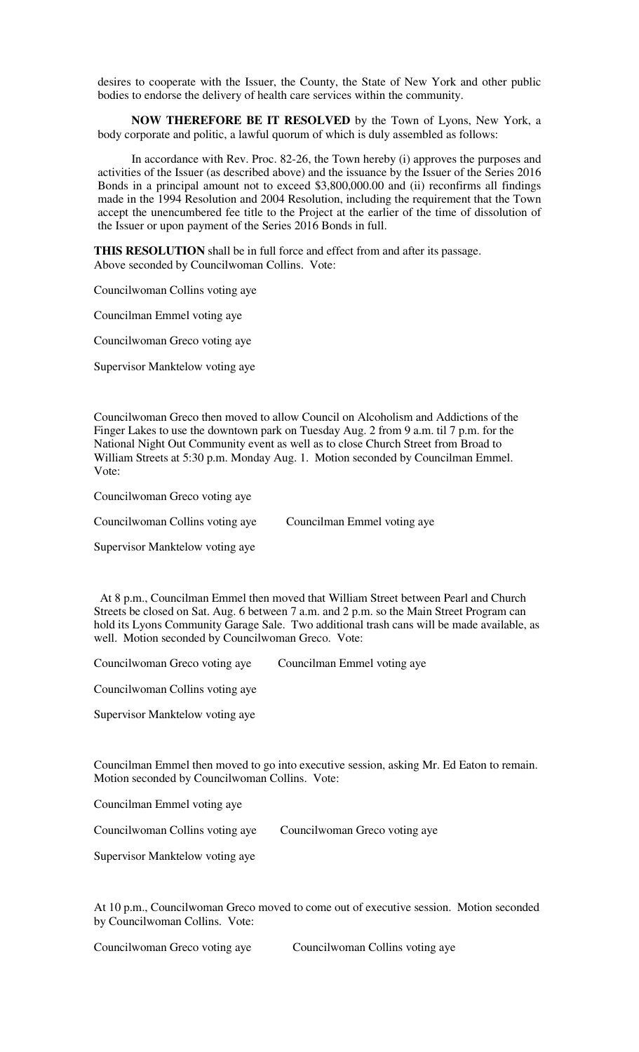desires to cooperate with the Issuer, the County, the State of New York and other public bodies to endorse the delivery of health care services within the community.

**NOW THEREFORE BE IT RESOLVED** by the Town of Lyons, New York, a body corporate and politic, a lawful quorum of which is duly assembled as follows:

In accordance with Rev. Proc. 82-26, the Town hereby (i) approves the purposes and activities of the Issuer (as described above) and the issuance by the Issuer of the Series 2016 Bonds in a principal amount not to exceed \$3,800,000.00 and (ii) reconfirms all findings made in the 1994 Resolution and 2004 Resolution, including the requirement that the Town accept the unencumbered fee title to the Project at the earlier of the time of dissolution of the Issuer or upon payment of the Series 2016 Bonds in full.

**THIS RESOLUTION** shall be in full force and effect from and after its passage. Above seconded by Councilwoman Collins. Vote:

Councilwoman Collins voting aye

Councilman Emmel voting aye

Councilwoman Greco voting aye

Supervisor Manktelow voting aye

Councilwoman Greco then moved to allow Council on Alcoholism and Addictions of the Finger Lakes to use the downtown park on Tuesday Aug. 2 from 9 a.m. til 7 p.m. for the National Night Out Community event as well as to close Church Street from Broad to William Streets at 5:30 p.m. Monday Aug. 1. Motion seconded by Councilman Emmel. Vote:

Councilwoman Greco voting aye

Councilwoman Collins voting aye Councilman Emmel voting aye

Supervisor Manktelow voting aye

 At 8 p.m., Councilman Emmel then moved that William Street between Pearl and Church Streets be closed on Sat. Aug. 6 between 7 a.m. and 2 p.m. so the Main Street Program can hold its Lyons Community Garage Sale. Two additional trash cans will be made available, as well. Motion seconded by Councilwoman Greco. Vote:

Councilwoman Greco voting aye Councilman Emmel voting aye

Councilwoman Collins voting aye

Supervisor Manktelow voting aye

Councilman Emmel then moved to go into executive session, asking Mr. Ed Eaton to remain. Motion seconded by Councilwoman Collins. Vote:

Councilman Emmel voting aye

Councilwoman Collins voting aye Councilwoman Greco voting aye

Supervisor Manktelow voting aye

At 10 p.m., Councilwoman Greco moved to come out of executive session. Motion seconded by Councilwoman Collins. Vote:

Councilwoman Greco voting aye Councilwoman Collins voting aye